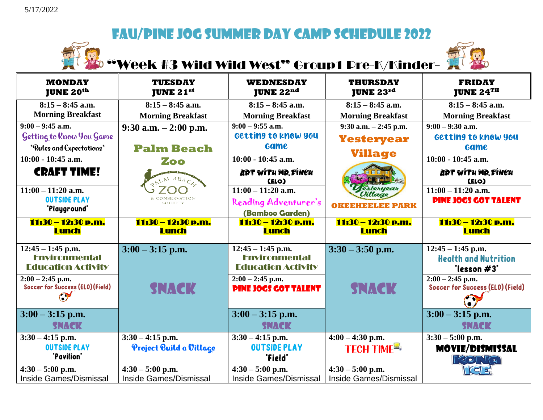

# Week #3 Wild Wild West" Group1 Pre-K/Kinder-



| <b>MONDAY</b><br><b>JUNE 20th</b>                                        | <b>TUESDAY</b><br><b>JUNE 21st</b> | <b>WEDNESDAY</b><br><b>JUNE 22nd</b>                                     | <b>THURSDAY</b><br><b>JUNE 23rd</b> | <b>FRIDAY</b><br><b>JUNE 24TH</b>                                 |
|--------------------------------------------------------------------------|------------------------------------|--------------------------------------------------------------------------|-------------------------------------|-------------------------------------------------------------------|
| $8:15 - 8:45$ a.m.                                                       | $8:15 - 8:45$ a.m.                 | $8:15 - 8:45$ a.m.                                                       | $8:15 - 8:45$ a.m.                  | $8:15 - 8:45$ a.m.                                                |
| <b>Morning Breakfast</b>                                                 | <b>Morning Breakfast</b>           | <b>Morning Breakfast</b>                                                 | <b>Morning Breakfast</b>            | <b>Morning Breakfast</b>                                          |
| $9:00 - 9:45$ a.m.                                                       | $9:30$ a.m. $-2:00$ p.m.           | $9:00 - 9:55$ a.m.                                                       | $9:30$ a.m. $-2:45$ p.m.            | $9:00 - 9:30$ a.m.                                                |
| Getting to Know You Game                                                 |                                    | Getting to know you                                                      | <b>Yesteryear</b>                   | Getting to know you                                               |
| *Rules and Expectations*                                                 | <b>Palm Beach</b>                  | <b>Game</b>                                                              | <b>Village</b>                      | <b>Game</b>                                                       |
| $10:00 - 10:45$ a.m.                                                     | Zoo                                | $10:00 - 10:45$ a.m.                                                     |                                     | $10:00 - 10:45$ a.m.                                              |
| <b>CRAFT TIME!</b>                                                       | PALM BEACH                         | ART WITH MR FINCH<br>(ELO)                                               |                                     | ART WITH MR. FINCH<br>(ELO)                                       |
| $11:00 - 11:20$ a.m.                                                     |                                    | $11:00 - 11:20$ a.m.                                                     | esteryear<br>Villago                | $11:00 - 11:20$ a.m.                                              |
| <b>OUTSIDE PLAY</b><br>'Playground'                                      | SOCIETY                            | Reading Adventurer's<br>(Bamboo Garden)                                  | <b>OKEEHEELEE PARK</b>              | <b>PINE JOGS GOT TALENT</b>                                       |
| 11:30 - 12:30 p.m.<br><b>Lunch</b>                                       | 11:30 - 12:30 p.m.<br><b>Lunch</b> | 11:30 - 12:30 p.m.<br><b>Lunch</b>                                       | 11:30 – 12:30 p.m.<br><b>Lunch</b>  | 11:30 - 12:30 p.m.<br><b>Lunch</b>                                |
| $12:45 - 1:45$ p.m.<br><b>Fnvironmental</b><br><b>Education Activity</b> | $3:00 - 3:15$ p.m.                 | $12:45 - 1:45$ p.m.<br><b>Fnvironmental</b><br><b>Education Activity</b> | $3:30 - 3:50$ p.m.                  | $12:45 - 1:45$ p.m.<br><b>Health and Nutrition</b><br>"lesson #3" |
| $2:00 - 2:45$ p.m.<br>Soccer for Success (ELO) (Field)<br>$\sigma$       | <b>SNACK</b>                       | $2:00 - 2:45$ p.m.<br><b>PINE JOGS GOT TALENT</b>                        | <b>SNACK</b>                        | $2:00 - 2:45$ p.m.<br>Soccer for Success (ELO) (Field)            |
| $3:00 - 3:15$ p.m.<br><b>SNACK</b>                                       |                                    | $3:00 - 3:15$ p.m.<br><b>SNACK</b>                                       |                                     | $3:00 - 3:15$ p.m.<br><b>SNACK</b>                                |
| $3:30 - 4:15$ p.m.                                                       | $3:30 - 4:15$ p.m.                 | $3:30 - 4:15$ p.m.                                                       | $4:00 - 4:30$ p.m.                  | $3:30 - 5:00$ p.m.                                                |
| <b>OUTSIDE PLAY</b><br>"Pavilion"                                        | Project Build a Village            | <b>OUTSIDE PLAY</b><br>"Field"                                           | TECH TIME <sup>E</sup>              | <b>MOVIE/DISMISSAL</b><br><b>FRONT Q</b>                          |
| $4:30 - 5:00$ p.m.                                                       | $4:30 - 5:00$ p.m.                 | $4:30 - 5:00$ p.m.                                                       | $4:30 - 5:00$ p.m.                  | <b>C</b>                                                          |
| Inside Games/Dismissal                                                   | <b>Inside Games/Dismissal</b>      | Inside Games/Dismissal                                                   | <b>Inside Games/Dismissal</b>       |                                                                   |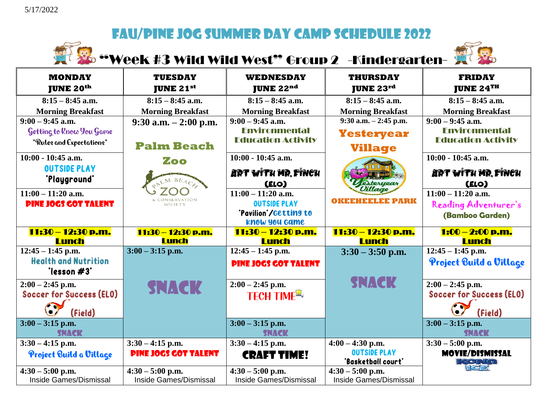

Week #3 Wild Wild West" Group 2 -Kindergarten-



| <b>MONDAY</b><br><b>JUNE 20th</b>             | <b>TUESDAY</b><br><b>JUNE 21st</b>                  | <b>WEDNESDAY</b><br><b>JUNE 22nd</b>         | <b>THURSDAY</b><br><b>JUNE 23rd</b>          | <b>FRIDAY</b><br><b>JUNE 24TH</b>             |
|-----------------------------------------------|-----------------------------------------------------|----------------------------------------------|----------------------------------------------|-----------------------------------------------|
| $8:15 - 8:45$ a.m.                            | $8:15 - 8:45$ a.m.                                  | $8:15 - 8:45$ a.m.                           | $8:15 - 8:45$ a.m.                           | $8:15 - 8:45$ a.m.                            |
| <b>Morning Breakfast</b>                      | <b>Morning Breakfast</b>                            | <b>Morning Breakfast</b>                     | <b>Morning Breakfast</b>                     | <b>Morning Breakfast</b>                      |
| $9:00 - 9:45$ a.m.                            | $9:30$ a.m. $-2:00$ p.m.                            | $9:00 - 9:45$ a.m.                           | 9:30 a.m. - 2:45 p.m.                        | $9:00 - 9:45$ a.m.                            |
| Getting to Rnow You Game                      |                                                     | <b>Fnvironmental</b>                         | <b>Yesteryear</b>                            | <b>Fnvironmental</b>                          |
| *Rules and Expectations*                      | <b>Palm Beach</b>                                   | <b>Education Activity</b>                    | <b>Village</b>                               | <b>Education Activity</b>                     |
| $10:00 - 10:45$ a.m.                          | Zoo                                                 | $10:00 - 10:45$ a.m.                         |                                              | $10:00 - 10:45$ a.m.                          |
| <b>OUTSIDE PLAY</b><br>'Playground'           | LM BEACH                                            | ART WITH MR. FINCH<br>(ELO)                  | esteryear                                    | ART WITH MR. FINCH<br>(ELO)                   |
| $11:00 - 11:20$ a.m.                          |                                                     | $11:00 - 11:20$ a.m.                         | Villago                                      | $11:00 - 11:20$ a.m.                          |
| <b>PINE JOGS GOT TALENT</b>                   |                                                     | <b>OUTSIDE PLAY</b>                          | OKEEHEEE PARK                                | Reading Adventurer's                          |
|                                               |                                                     | 'Pavilion'/Getting to<br>know you came       |                                              | (Bamboo Garden)                               |
|                                               |                                                     |                                              |                                              |                                               |
| 11:30 - 12:30 p.m.                            | 11:30 - 12:30 p.m.                                  | 11:30 – 12:30 p.m.                           | 11:30 – 12:30 p.m.                           | 1:00 – 2:00 p.m.                              |
| <b>Lunch</b>                                  | <b>Lunch</b>                                        | <b>Lunch</b>                                 | <b>Lunch</b>                                 | <b>Lunch</b>                                  |
| $12:45 - 1:45$ p.m.                           | $3:00 - 3:15$ p.m.                                  | $12:45 - 1:45$ p.m.                          | $3:30 - 3:50$ p.m.                           | $12:45 - 1:45$ p.m.                           |
| <b>Health and Nutrition</b>                   |                                                     | <b>PINE JOGS GOT TALENT</b>                  |                                              | Project Build a Village                       |
| "lesson #3"                                   |                                                     |                                              |                                              |                                               |
| $2:00 - 2:45$ p.m.                            | <b>SNACK</b>                                        | $2:00 - 2:45$ p.m.                           | <b>SNACK</b>                                 | $2:00 - 2:45$ p.m.                            |
| Soccer for Success (ELO)                      |                                                     | <b>TECH TIME<sup>2</sup></b>                 |                                              | <b>Soccer for Success (ELO)</b>               |
| (Field)<br>$3:00 - 3:15$ p.m.<br><b>SNACK</b> |                                                     | $3:00 - 3:15$ p.m.<br><b>SNACK</b>           |                                              | (Field)<br>$3:00 - 3:15$ p.m.<br><b>SNACK</b> |
| $3:30 - 4:15$ p.m.                            | $3:30 - 4:15$ p.m.                                  | $3:30 - 4:15$ p.m.                           | $4:00 - 4:30$ p.m.                           | $3:30 - 5:00$ p.m.                            |
| Project Build a Village                       | <b>PINE JOGS GOT TALENT</b>                         | <b>CRAFT TIME!</b>                           | <b>OUTSIDE PLAY</b><br>'Basketball court'    | <b>MOVIE/DISMISSAL</b><br><b>KONG</b>         |
| $4:30 - 5:00$ p.m.<br>Inside Games/Dismissal  | $4:30 - 5:00$ p.m.<br><b>Inside Games/Dismissal</b> | $4:30 - 5:00$ p.m.<br>Inside Games/Dismissal | $4:30 - 5:00$ p.m.<br>Inside Games/Dismissal | $\Gamma$ $\left(\right $                      |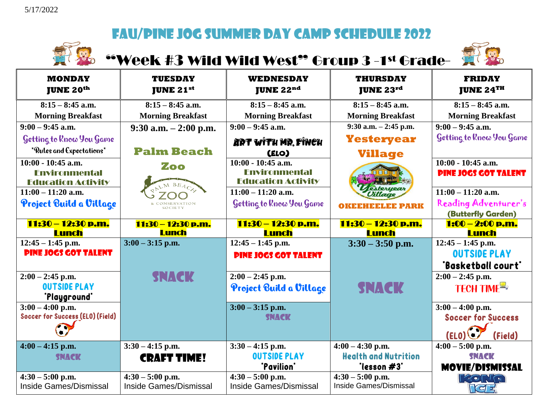

### **Week #3 Wild Wild West" Group 3 -1st Grade- AT &**



| <b>MONDAY</b><br><b>JUNE 20th</b>                                         | <b>TUESDAY</b><br><b>JUNE 21st</b> | WEDNESDAY<br><b>JUNE 22nd</b>                                             | <b>THURSDAY</b><br><b>JUNE 23<math>^{rd}</math></b> | <b>FRIDAY</b><br><b>JUNE 24TH</b>                   |
|---------------------------------------------------------------------------|------------------------------------|---------------------------------------------------------------------------|-----------------------------------------------------|-----------------------------------------------------|
| $8:15 - 8:45$ a.m.                                                        | $8:15 - 8:45$ a.m.                 | $8:15 - 8:45$ a.m.                                                        | $8:15 - 8:45$ a.m.                                  | $8:15 - 8:45$ a.m.                                  |
| <b>Morning Breakfast</b>                                                  | <b>Morning Breakfast</b>           | <b>Morning Breakfast</b>                                                  | <b>Morning Breakfast</b>                            | <b>Morning Breakfast</b>                            |
| $9:00 - 9:45$ a.m.                                                        | $9:30$ a.m. $-2:00$ p.m.           | $9:00 - 9:45$ a.m.                                                        | $9:30$ a.m. $-2:45$ p.m.                            | $9:00 - 9:45$ a.m.                                  |
| Getting to Rnow You Game                                                  |                                    | ART WITH MR. FINCH                                                        | <b>Yesteryear</b>                                   | Getting to Rnow You Game                            |
| *Rules and Expectations*                                                  | <b>Palm Beach</b>                  | (ELO)                                                                     | <b>Village</b>                                      |                                                     |
| $10:00 - 10:45$ a.m.<br><b>Fnvironmental</b><br><b>Education Activity</b> | Zoo                                | $10:00 - 10:45$ a.m.<br><b>Environmental</b><br><b>Education Activity</b> |                                                     | $10:00 - 10:45$ a.m.<br><b>PINE JOGS GOT TALENT</b> |
| $11:00 - 11:20$ a.m.                                                      |                                    | $11:00 - 11:20$ a.m.                                                      | estervea                                            | $11:00 - 11:20$ a.m.                                |
| Project Build a Village                                                   |                                    | Getting to Know You Game                                                  | OKEEHEELEE PARK                                     | Reading Adventurer's<br>(Butterfly Garden)          |
| 11:30 - 12:30 p.m.                                                        | 11:30 – 12:30 p.m.                 | 11:30 – 12:30 p.m.                                                        | 11:30 - 12:30 p.m.                                  | 1:00 - 2:00 p.m.                                    |
| <b>Lunch</b>                                                              | <b>Lunch</b>                       | <b>Lunch</b>                                                              | <b>Lunch</b>                                        | <b>Lunch</b>                                        |
| $12:45 - 1:45$ p.m.                                                       | $3:00 - 3:15$ p.m.                 | $12:45 - 1:45$ p.m.                                                       | $3:30 - 3:50$ p.m.                                  | $12:45 - 1:45$ p.m.                                 |
| <b>PINE JOGS GOT TALENT</b>                                               |                                    | <b>PINE JOGS GOT TALENT</b>                                               |                                                     | <b>OUTSIDE PLAY</b>                                 |
|                                                                           |                                    |                                                                           |                                                     | "Basketball court"                                  |
| $2:00 - 2:45$ p.m.                                                        | SNACK                              | $2:00 - 2:45$ p.m.                                                        |                                                     | $2:00 - 2:45$ p.m.                                  |
| <b>OUTSIDE PLAY</b><br>'Playground'                                       |                                    | Project Build a Village                                                   | <b>SNACK</b>                                        | TECH TIME <sup>E</sup>                              |
| $3:00 - 4:00$ p.m.                                                        |                                    | $3:00 - 3:15$ p.m.                                                        |                                                     | $3:00 - 4:00$ p.m.                                  |
| Soccer for Success (ELO) (Field)                                          |                                    | <b>SNACK</b>                                                              |                                                     | <b>Soccer for Success</b>                           |
|                                                                           |                                    |                                                                           |                                                     | (Field)<br>(ELO)                                    |
| $4:00 - 4:15$ p.m.                                                        | $3:30 - 4:15$ p.m.                 | $3:30 - 4:15$ p.m.                                                        | $4:00 - 4:30$ p.m.                                  | $4:00 - 5:00$ p.m.                                  |
| <b>SNACK</b>                                                              | <b>CRAFT TIME!</b>                 | <b>OUTSIDE PLAY</b>                                                       | <b>Health and Nutrition</b>                         | <b>SNACK</b>                                        |
|                                                                           |                                    | "Pavilion"                                                                | "lesson #3"                                         | <b>MOVIE/DISMISSAL</b>                              |
| $4:30 - 5:00$ p.m.                                                        | $4:30 - 5:00$ p.m.                 | $4:30 - 5:00$ p.m.                                                        | $4:30 - 5:00$ p.m.                                  | <b>FRONT Q</b>                                      |
| Inside Games/Dismissal                                                    | <b>Inside Games/Dismissal</b>      | <b>Inside Games/Dismissal</b>                                             | <b>Inside Games/Dismissal</b>                       | rra 7                                               |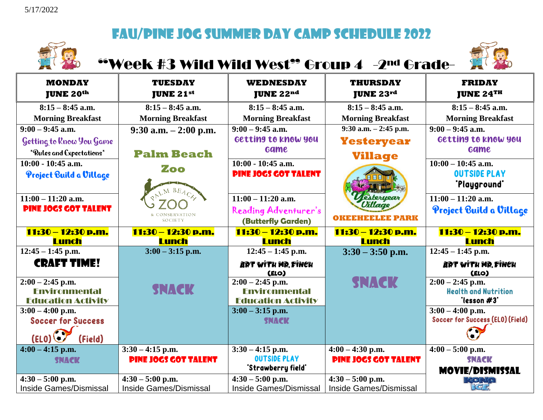

## "Week #3 Wild Wild West" Group 4 -2nd Grade-



| <b>MONDAY</b><br><b>JUNE 20th</b>               | <b>TUESDAY</b><br><b>JUNE 21st</b> | <b>WEDNESDAY</b><br><b>JUNE 22nd</b>      | <b>THURSDAY</b><br><b>JUNE 23rd</b> | <b>FRIDAY</b><br><b>JUNE 24TH</b>                      |
|-------------------------------------------------|------------------------------------|-------------------------------------------|-------------------------------------|--------------------------------------------------------|
| $8:15 - 8:45$ a.m.                              | $8:15 - 8:45$ a.m.                 | $8:15 - 8:45$ a.m.                        | $8:15 - 8:45$ a.m.                  | $8:15 - 8:45$ a.m.                                     |
| <b>Morning Breakfast</b>                        | <b>Morning Breakfast</b>           | <b>Morning Breakfast</b>                  | <b>Morning Breakfast</b>            | <b>Morning Breakfast</b>                               |
| $9:00 - 9:45$ a.m.                              | $9:30$ a.m. $-2:00$ p.m.           | $9:00 - 9:45$ a.m.                        | $9:30$ a.m. $-2:45$ p.m.            | $9:00 - 9:45$ a.m.                                     |
| Getting to Know You Game                        |                                    | Getting to know you                       | <b>Yesteryear</b>                   | Getting to know you                                    |
| *Rules and Expectations*                        | <b>Palm Beach</b>                  | <b>Game</b>                               | <b>Village</b>                      | <b>Game</b>                                            |
| $10:00 - 10:45$ a.m.                            | Zoo                                | $10:00 - 10:45$ a.m.                      |                                     | $10:00 - 10:45$ a.m.                                   |
| Project Build a Village                         |                                    | <b>PINE JOGS GOT TALENT</b>               |                                     | <b>OUTSIDE PLAY</b>                                    |
|                                                 |                                    |                                           |                                     | <b>'Playground'</b>                                    |
| $11:00 - 11:20$ a.m.                            |                                    | $11:00 - 11:20$ a.m.                      | esteryear<br><b>Jillage</b>         | $11:00 - 11:20$ a.m.                                   |
| <b>PINE JOGS GOT TALENT</b>                     |                                    | Reading Adventurer's                      |                                     | Project Build a Village                                |
|                                                 | <b>SOCIETY</b>                     | <b>(Butterfly Garden)</b>                 | FLEE PARK<br>окояны                 |                                                        |
| 11:30 – 12:30 p.m.                              | 11:30 - 12:30 p.m.                 | 11:30 – 12:30 p.m.                        | 11:30 – 12:30 p.m.                  | 11:30 - 12:30 p.m.                                     |
| <b>Lunch</b>                                    | <b>Lunch</b>                       | <b>Lunch</b>                              | <b>Lunch</b>                        | <b>Lunch</b>                                           |
| $\overline{12:}45 - 1:45$ p.m.                  | $3:00 - 3:15$ p.m.                 | $12:45 - 1:45$ p.m.                       | $3:30 - 3:50$ p.m.                  | $12:45 - 1:45$ p.m.                                    |
| <b>CRAFT TIME!</b>                              |                                    | ART WITH MR, FINCH<br>(ELO)               |                                     | ART WITH MR. FINCH<br>(ELO)                            |
| $2:00 - 2:45$ p.m.                              |                                    | $2:00 - 2:45$ p.m.                        | <b>SNACK</b>                        | $2:00 - 2:45$ p.m.                                     |
| <b>Fnvironmental</b>                            | <b>SNACK</b>                       | <b>Fnvironmental</b>                      |                                     | <b>Health and Nutrition</b>                            |
| <b>Education Activity</b>                       |                                    | <b>Education Activity</b>                 |                                     | "lesson #3"                                            |
| $3:00 - 4:00$ p.m.<br><b>Soccer for Success</b> |                                    | $3:00 - 3:15$ p.m.<br><b>SNACK</b>        |                                     | $3:00 - 4:00$ p.m.<br>Soccer for Success (ELO) (Field) |
|                                                 |                                    |                                           |                                     |                                                        |
| (Field)<br>(ELO)                                |                                    |                                           |                                     |                                                        |
| $4:00 - 4:15$ p.m.                              | $3:30 - 4:15$ p.m.                 | $3:30 - 4:15$ p.m.                        | $4:00 - 4:30$ p.m.                  | $4:00 - 5:00$ p.m.                                     |
| <b>SNACK</b>                                    | <b>PINE JOGS GOT TALENT</b>        | <b>OUTSIDE PLAY</b><br>'Strawberry field' | <b>PINE JOGS GOT TALENT</b>         | SNACK                                                  |
| $4:30 - 5:00$ p.m.                              | $4:30 - 5:00$ p.m.                 | $4:30 - 5:00$ p.m.                        | $4:30 - 5:00$ p.m.                  | <b>MOVIE/DISMISSAL</b><br><b>ROND</b>                  |
| <b>Inside Games/Dismissal</b>                   | <b>Inside Games/Dismissal</b>      | <b>Inside Games/Dismissal</b>             | <b>Inside Games/Dismissal</b>       | प्लिम                                                  |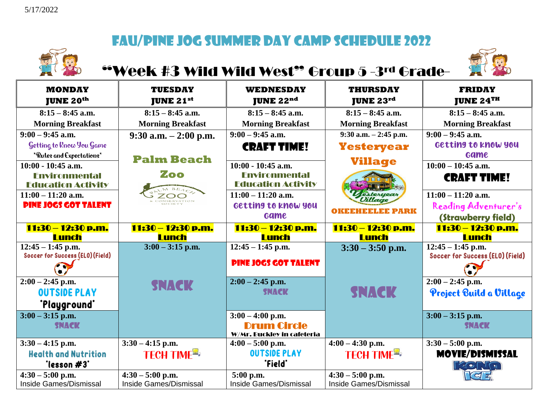

### "Week #3 Wild Wild West" Group 5 -3rd Grade-



| <b>MONDAY</b><br><b>JUNE 20th</b>                       | <b>TUESDAY</b><br><b>JUNE 21st</b> | <b>WEDNESDAY</b><br><b>JUNE 22nd</b>             | <b>THURSDAY</b><br><b>JUNE 23rd</b> | <b>FRIDAY</b><br><b>JUNE 24TH</b>                       |
|---------------------------------------------------------|------------------------------------|--------------------------------------------------|-------------------------------------|---------------------------------------------------------|
| $8:15 - 8:45$ a.m.                                      | $8:15 - 8:45$ a.m.                 | $8:15 - 8:45$ a.m.                               | $8:15 - 8:45$ a.m.                  | $8:15 - 8:45$ a.m.                                      |
| <b>Morning Breakfast</b>                                | <b>Morning Breakfast</b>           | <b>Morning Breakfast</b>                         | <b>Morning Breakfast</b>            | <b>Morning Breakfast</b>                                |
| $9:00 - 9:45$ a.m.                                      | $9:30$ a.m. $-2:00$ p.m.           | $9:00 - 9:45$ a.m.                               | $9:30$ a.m. $-2:45$ p.m.            | $9:00 - 9:45$ a.m.                                      |
| Getting to know You Game                                |                                    | <b>CRAFT TIME!</b>                               | <b>Yesteryear</b>                   | Getting to know you                                     |
| *Rules and Expectations*                                | <b>Palm Beach</b>                  |                                                  |                                     | <b>Game</b>                                             |
| $10:00 - 10:45$ a.m.                                    |                                    | $10:00 - 10:45$ a.m.                             | <b>Village</b>                      | $10:00 - 10:45$ a.m.                                    |
| <b>Fnvironmental</b>                                    | Zoo                                | <b>Fnvironmental</b>                             |                                     | <b>CRAFT TIME!</b>                                      |
| <b>Education Activity</b>                               |                                    | <b>Education Activity</b>                        |                                     |                                                         |
| $11:00 - 11:20$ a.m.                                    | NSERVATION                         | $11:00 - 11:20$ a.m.                             | esteryear<br>Oillaac                | $11:00 - 11:20$ a.m.                                    |
| <b>PINE JOGS GOT TALENT</b>                             |                                    | Getting to know you                              | <b>OKEEHEELEE PARK</b>              | Reading Adventurer's                                    |
|                                                         |                                    | <b>Game</b>                                      |                                     | (Strawberry field)                                      |
| 11:30 – 12:30 p.m.                                      | 11:30 – 12:30 p.m.                 | 11:30 – 12:30 p.m.                               | 11:30 - 12:30 p.m.                  | 11:30 – 12:30 p.m.                                      |
| <b>Lunch</b>                                            | <b>Lunch</b>                       | <b>Lunch</b>                                     | <b>Lunch</b>                        | <b>Lunch</b>                                            |
| $12:45 - 1:45$ p.m.<br>Soccer for Success (ELO) (Field) | $3:00 - 3:15$ p.m.                 | $12:45 - 1:45$ p.m.                              | $3:30 - 3:50$ p.m.                  | $12:45 - 1:45$ p.m.<br>Soccer for Success (ELO) (Field) |
| $\epsilon$                                              |                                    | <b>PINE JOCS GOT TALENT</b>                      |                                     | $\sigma$ and                                            |
| $2:00 - 2:45$ p.m.                                      | <b>SNACK</b>                       | $2:00 - 2:45$ p.m.                               |                                     | $2:00 - 2:45$ p.m.                                      |
| <b>OUTSIDE PLAY</b>                                     |                                    | <b>SNACK</b>                                     | <b>SNACK</b>                        | Project Build a Village                                 |
| "Playground"                                            |                                    |                                                  |                                     |                                                         |
| $3:00 - 3:15$ p.m.                                      |                                    | $3:00 - 4:00$ p.m.                               |                                     | $3:00 - 3:15$ p.m.                                      |
| <b>SNACK</b>                                            |                                    | <b>Drum Circle</b><br>W/Mr. Buckley in cafeteria |                                     | <b>SNACK</b>                                            |
| $3:30 - 4:15$ p.m.                                      | $3:30 - 4:15$ p.m.                 | $4:00 - 5:00$ p.m.                               | $4:00 - 4:30$ p.m.                  | $3:30 - 5:00$ p.m.                                      |
| <b>Health and Nutrition</b><br>"lesson #3"              | <b>TECH TIME<sup>2</sup></b>       | <b>OUTSIDE PLAY</b><br>"Field"                   | TECH TIME <sup>E</sup>              | <b>MOVIE/DISMISSAL</b><br><b>FRONTO</b>                 |
| $4:30 - 5:00$ p.m.                                      | $4:30 - 5:00$ p.m.                 | 5:00 p.m.                                        | $4:30 - 5:00$ p.m.                  | ිත්                                                     |
| Inside Games/Dismissal                                  | Inside Games/Dismissal             | Inside Games/Dismissal                           | Inside Games/Dismissal              |                                                         |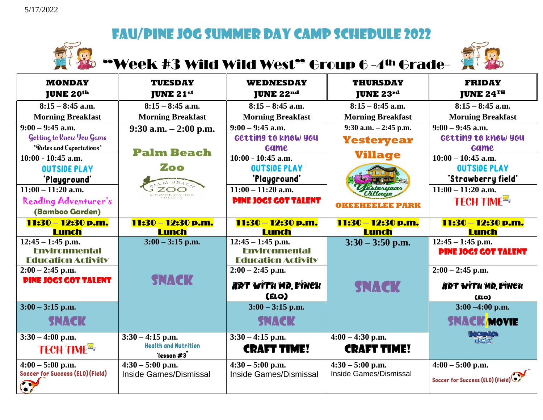

## Week #3 Wild Wild West<sup>99</sup> Group 6-4<sup>th</sup> Grade-



| <b>MONDAY</b><br><b>JUNE 20th</b>                                                                                                         | <b>TUESDAY</b><br><b>JUNE 21st</b>                                | <b>WEDNESDAY</b><br><b>JUNE 22nd</b>                                                                                    | <b>THURSDAY</b><br><b>JUNE 23rd</b>                             | <b>FRIDAY</b><br><b>JUNE 24TH</b>                                                                                             |
|-------------------------------------------------------------------------------------------------------------------------------------------|-------------------------------------------------------------------|-------------------------------------------------------------------------------------------------------------------------|-----------------------------------------------------------------|-------------------------------------------------------------------------------------------------------------------------------|
| $8:15 - 8:45$ a.m.                                                                                                                        | $8:15 - 8:45$ a.m.                                                | $8:15 - 8:45$ a.m.                                                                                                      | $8:15 - 8:45$ a.m.                                              | $8:15 - 8:45$ a.m.                                                                                                            |
| <b>Morning Breakfast</b>                                                                                                                  | <b>Morning Breakfast</b>                                          | <b>Morning Breakfast</b>                                                                                                | <b>Morning Breakfast</b>                                        | <b>Morning Breakfast</b>                                                                                                      |
| $9:00 - 9:45$ a.m.<br>Getting to Rnow You Game<br>*Rules and Expectations*<br>$10:00 - 10:45$ a.m.<br><b>OUTSIDE PLAY</b><br>"Playground" | $9:30$ a.m. $-2:00$ p.m.<br><b>Palm Beach</b><br>Zoo              | $9:00 - 9:45$ a.m.<br>Getting to know you<br><b>Game</b><br>$10:00 - 10:45$ a.m.<br><b>OUTSIDE PLAY</b><br>"Playground" | $9:30$ a.m. $-2:45$ p.m.<br><b>Yesteryear</b><br><b>Village</b> | $9:00 - 9:45$ a.m.<br>Getting to know you<br><b>Game</b><br>$10:00 - 10:45$ a.m.<br><b>OUTSIDE PLAY</b><br>"Strawberry field" |
| $11:00 - 11:20$ a.m.<br>Reading Adventurer's<br>(Bamboo Garden)                                                                           |                                                                   | $11:00 - 11:20$ a.m.<br><b>PINE JOGS GOT TALENT</b>                                                                     | estervear                                                       | $11:00 - 11:20$ a.m.<br>TECH TIME <sup>E</sup>                                                                                |
| 11:30 - 12:30 p.m.<br>Lunch                                                                                                               | 11:30 – 12:30 p.m.<br><b>Lunch</b>                                | 11:30 – 12:30 p.m.<br><b>Lunch</b>                                                                                      | 11:30 - 12:30 p.m.<br><b>Lunch</b>                              | 11:30 - 12:30 p.m.<br><b>Lunch</b>                                                                                            |
| $12:45 - 1:45$ p.m.<br><b>Fnvironmental</b><br><b>Education Activity</b>                                                                  | $3:00 - 3:15$ p.m.                                                | $12:45 - 1:45$ p.m.<br><b>Fnvironmental</b><br><b>Education Activity</b>                                                | $3:30 - 3:50$ p.m.                                              | $12:45 - 1:45$ p.m.<br><b>PINE JOGS GOT TALENT</b>                                                                            |
| $2:00 - 2:45$ p.m.<br><b>PINE JOGS GOT TALENT</b>                                                                                         | <b>SNACK</b>                                                      | $2:00 - 2:45$ p.m.<br>ART WITH MR, FINCH<br>(ELO)                                                                       | <b>SNACK</b>                                                    | $2:00 - 2:45$ p.m.<br>ART WITH MR, FINCH<br>(ELO)                                                                             |
| $3:00 - 3:15$ p.m.<br><b>SNACK</b>                                                                                                        |                                                                   | $3:00 - 3:15$ p.m.<br><b>SNACK</b>                                                                                      |                                                                 | $3:00 - 4:00$ p.m.<br><b>SNACK/MOVIE</b>                                                                                      |
| $3:30 - 4:00$ p.m.<br><b>TECH TIME<sup>R</sup></b>                                                                                        | $3:30 - 4:15$ p.m.<br><b>Health and Nutrition</b><br>'lesson $#3$ | $3:30 - 4:15$ p.m.<br><b>CRAFT TIME!</b>                                                                                | $4:00 - 4:30$ p.m.<br><b>CRAFT TIME!</b>                        | <b>Korta</b>                                                                                                                  |
| $4:00 - 5:00$ p.m.<br>Soccer for Success (ELO) (Field)<br>a7                                                                              | $4:30 - 5:00$ p.m.<br>Inside Games/Dismissal                      | $4:30 - 5:00$ p.m.<br>Inside Games/Dismissal                                                                            | $4:30 - 5:00$ p.m.<br>Inside Games/Dismissal                    | $4:00 - 5:00$ p.m.<br>Soccer for Success (ELO) (Field)                                                                        |